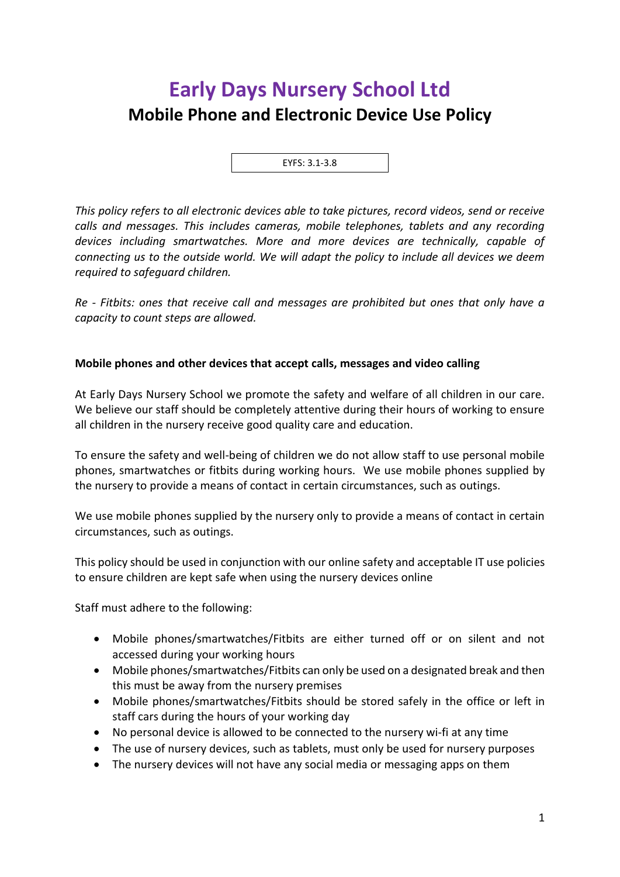# **Early Days Nursery School Ltd Mobile Phone and Electronic Device Use Policy**

EYFS: 3.1-3.8

*This policy refers to all electronic devices able to take pictures, record videos, send or receive calls and messages. This includes cameras, mobile telephones, tablets and any recording devices including smartwatches. More and more devices are technically, capable of connecting us to the outside world. We will adapt the policy to include all devices we deem required to safeguard children.*

*Re - Fitbits: ones that receive call and messages are prohibited but ones that only have a capacity to count steps are allowed.*

## **Mobile phones and other devices that accept calls, messages and video calling**

At Early Days Nursery School we promote the safety and welfare of all children in our care. We believe our staff should be completely attentive during their hours of working to ensure all children in the nursery receive good quality care and education.

To ensure the safety and well-being of children we do not allow staff to use personal mobile phones, smartwatches or fitbits during working hours. We use mobile phones supplied by the nursery to provide a means of contact in certain circumstances, such as outings.

We use mobile phones supplied by the nursery only to provide a means of contact in certain circumstances, such as outings.

This policy should be used in conjunction with our online safety and acceptable IT use policies to ensure children are kept safe when using the nursery devices online

Staff must adhere to the following:

- Mobile phones/smartwatches/Fitbits are either turned off or on silent and not accessed during your working hours
- Mobile phones/smartwatches/Fitbits can only be used on a designated break and then this must be away from the nursery premises
- Mobile phones/smartwatches/Fitbits should be stored safely in the office or left in staff cars during the hours of your working day
- No personal device is allowed to be connected to the nursery wi-fi at any time
- The use of nursery devices, such as tablets, must only be used for nursery purposes
- The nursery devices will not have any social media or messaging apps on them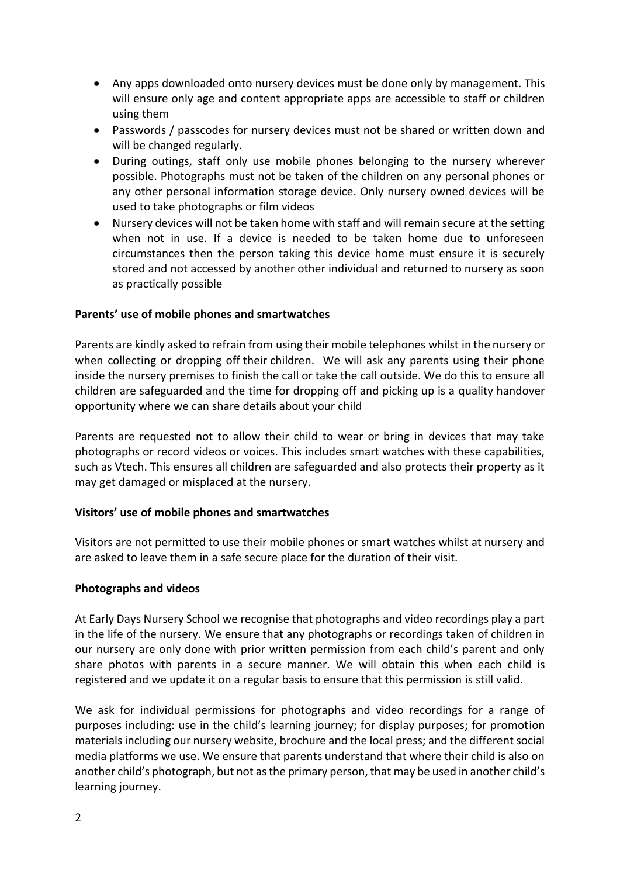- Any apps downloaded onto nursery devices must be done only by management. This will ensure only age and content appropriate apps are accessible to staff or children using them
- Passwords / passcodes for nursery devices must not be shared or written down and will be changed regularly.
- During outings, staff only use mobile phones belonging to the nursery wherever possible. Photographs must not be taken of the children on any personal phones or any other personal information storage device. Only nursery owned devices will be used to take photographs or film videos
- Nursery devices will not be taken home with staff and will remain secure at the setting when not in use. If a device is needed to be taken home due to unforeseen circumstances then the person taking this device home must ensure it is securely stored and not accessed by another other individual and returned to nursery as soon as practically possible

## **Parents' use of mobile phones and smartwatches**

Parents are kindly asked to refrain from using their mobile telephones whilst in the nursery or when collecting or dropping off their children. We will ask any parents using their phone inside the nursery premises to finish the call or take the call outside. We do this to ensure all children are safeguarded and the time for dropping off and picking up is a quality handover opportunity where we can share details about your child

Parents are requested not to allow their child to wear or bring in devices that may take photographs or record videos or voices. This includes smart watches with these capabilities, such as Vtech. This ensures all children are safeguarded and also protects their property as it may get damaged or misplaced at the nursery.

#### **Visitors' use of mobile phones and smartwatches**

Visitors are not permitted to use their mobile phones or smart watches whilst at nursery and are asked to leave them in a safe secure place for the duration of their visit.

#### **Photographs and videos**

At Early Days Nursery School we recognise that photographs and video recordings play a part in the life of the nursery. We ensure that any photographs or recordings taken of children in our nursery are only done with prior written permission from each child's parent and only share photos with parents in a secure manner. We will obtain this when each child is registered and we update it on a regular basis to ensure that this permission is still valid.

We ask for individual permissions for photographs and video recordings for a range of purposes including: use in the child's learning journey; for display purposes; for promotion materials including our nursery website, brochure and the local press; and the different social media platforms we use. We ensure that parents understand that where their child is also on another child's photograph, but not as the primary person, that may be used in another child's learning journey.